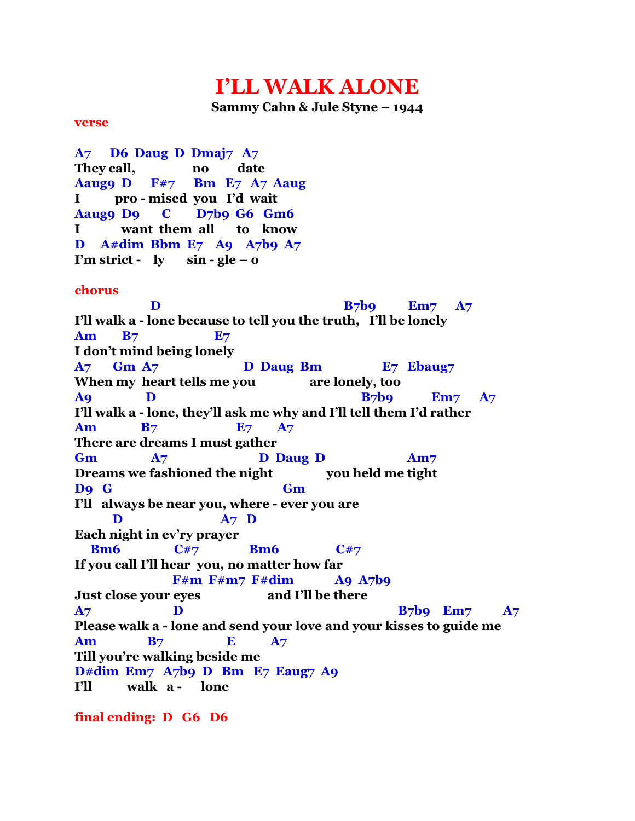## **I'LL WALK ALONE**

**Sammy Cahn & Jule Styne – 1944**

## **verse**

**A7 D6 Daug D Dmaj7 A7 They call, no date Aaug9 D F#7 Bm E7 A7 Aaug I pro - mised you I'd wait Aaug9 D9 C D7b9 G6 Gm6 I want them all to know D A#dim Bbm E7 A9 A7b9 A7** *I'm strict* **-**   $ly$   $\sin$  - $gle -\theta$ **chorus D** B<sub>7</sub>b9 Em7 A<sub>7</sub> **I'll walk a - lone because to tell you the truth, I'll be lonely Am B7 E7 I don't mind being lonely A7 Gm A7 D Daug Bm E7 Ebaug7 When my heart tells me you are lonely, too A9 D B7b9 Em7 A7 I'll walk a - lone, they'll ask me why and I'll tell them I'd rather Am B7 E7 A7 There are dreams I must gather** Gm  $A7$  D Daug D Am7 Dreams we fashioned the night you held me tight **D9 G Gm I'll always be near you, where - ever you are D A7 D Each night in ev'ry prayer Bm6** C#7 **Bm6** C#7 **If you call I'll hear you, no matter how far F#m F#m7 F#dim A9 A7b9 Just close your eyes and I'll be there A7 D B7b9** Em7 A7 **Please walk a - lone and send your love and your kisses to guide me Am B7 E A7 Till you're walking beside me D#dim Em7 A7b9 D Bm E7 Eaug7 A9 I'll walk a - lone**

**final ending: D G6 D6**